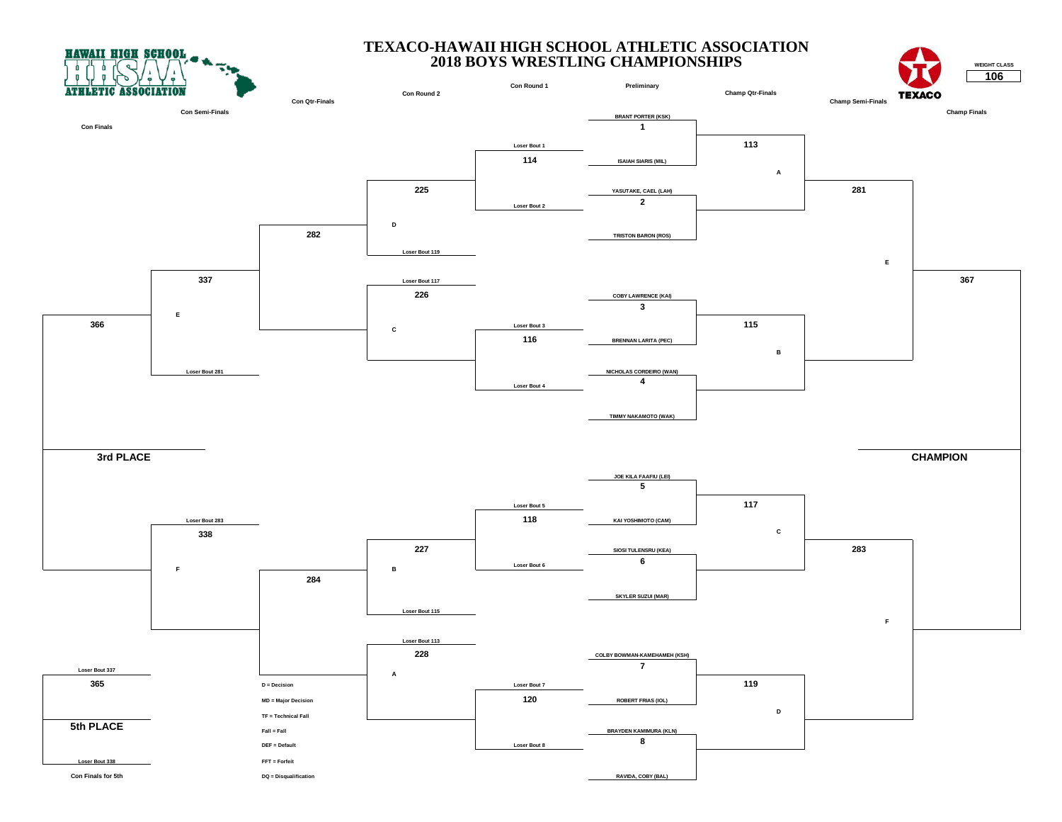**HAWAII HIGH SCHOOL** 



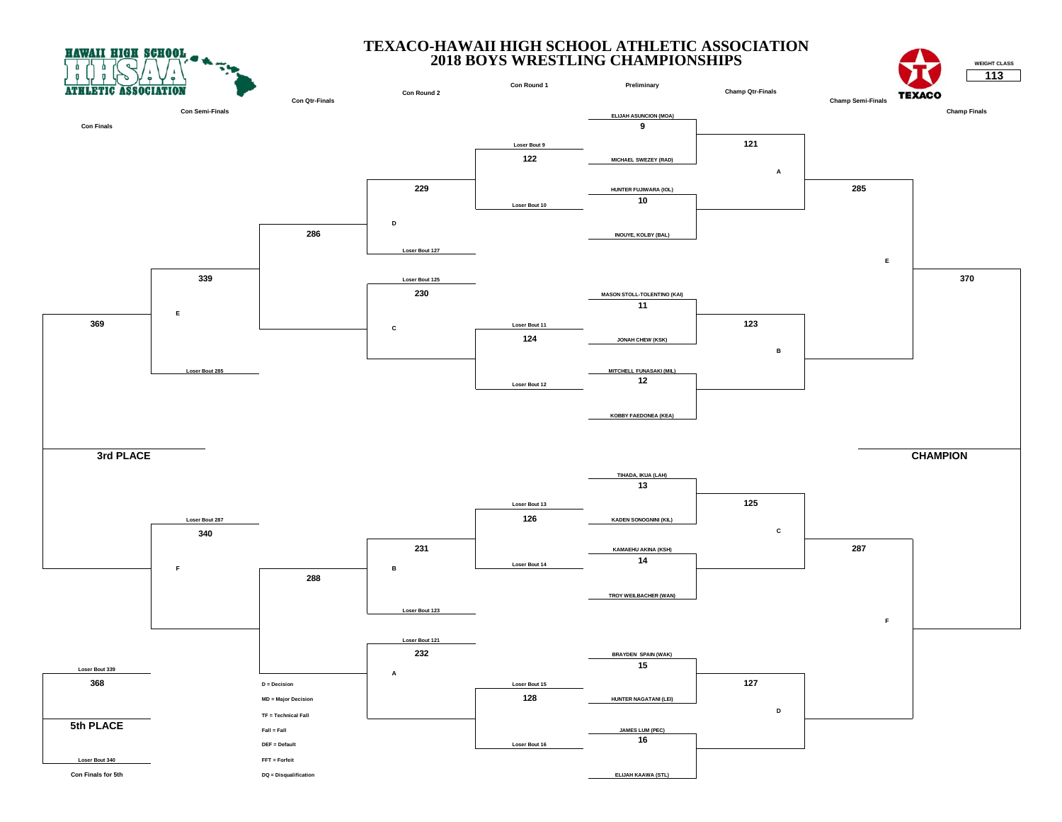



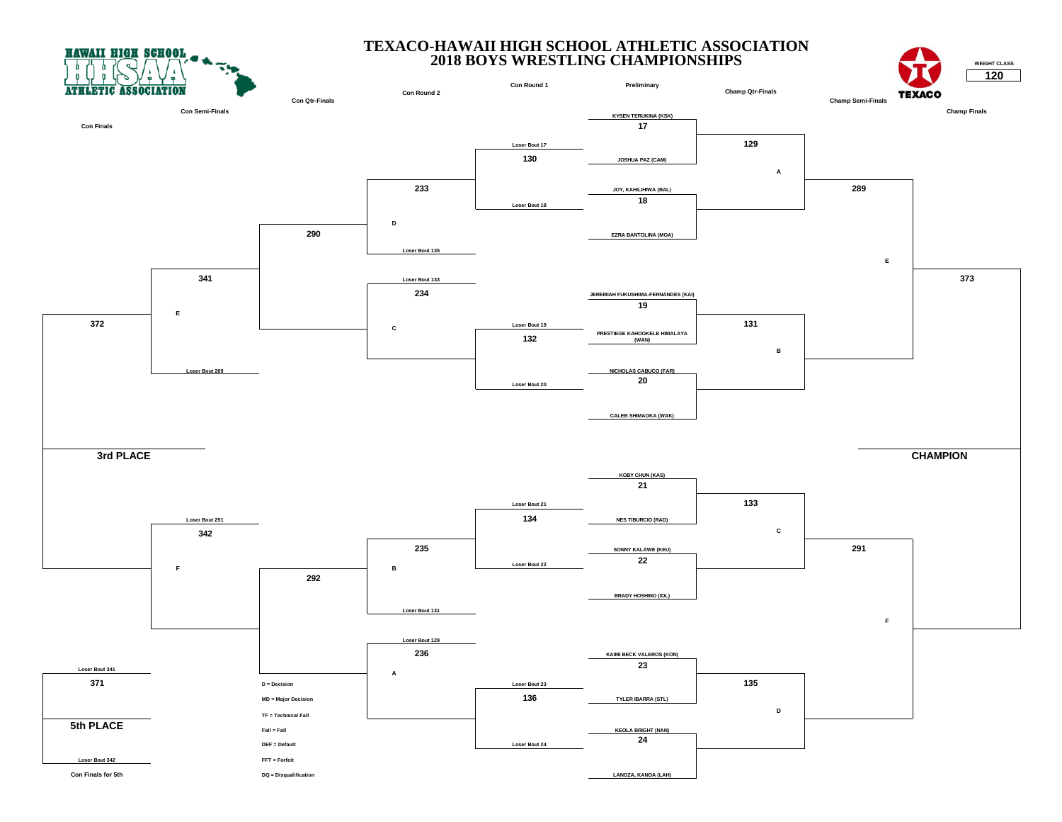



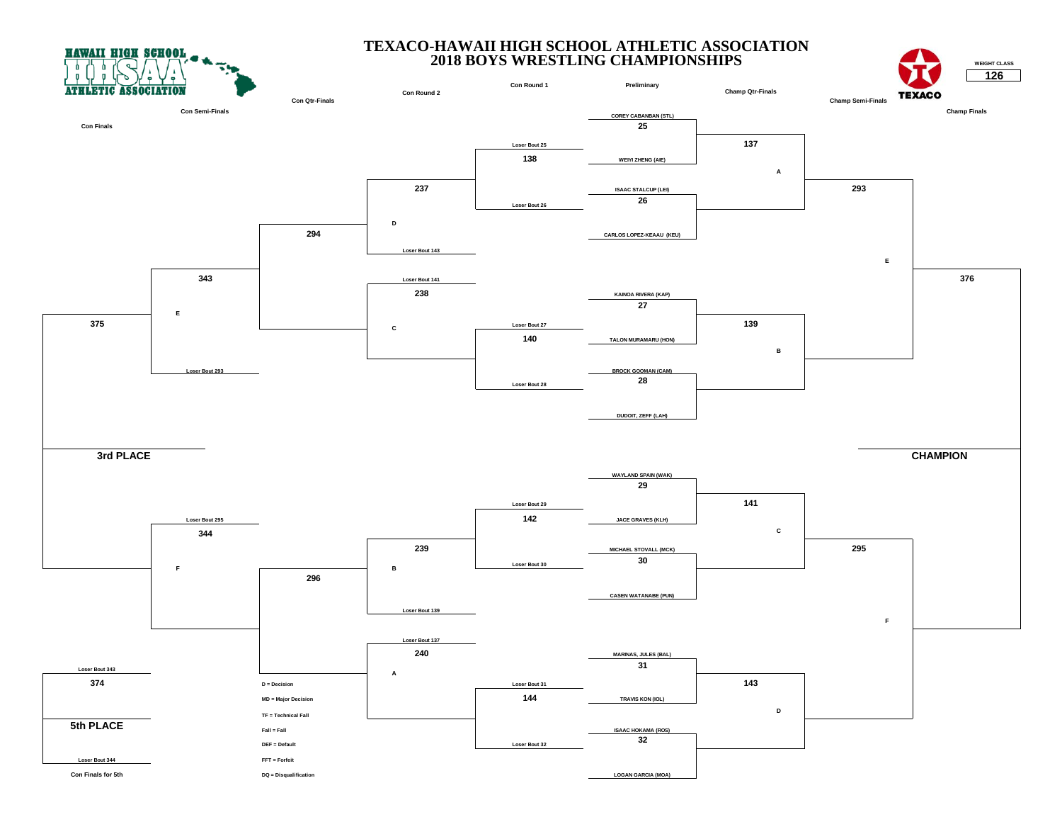



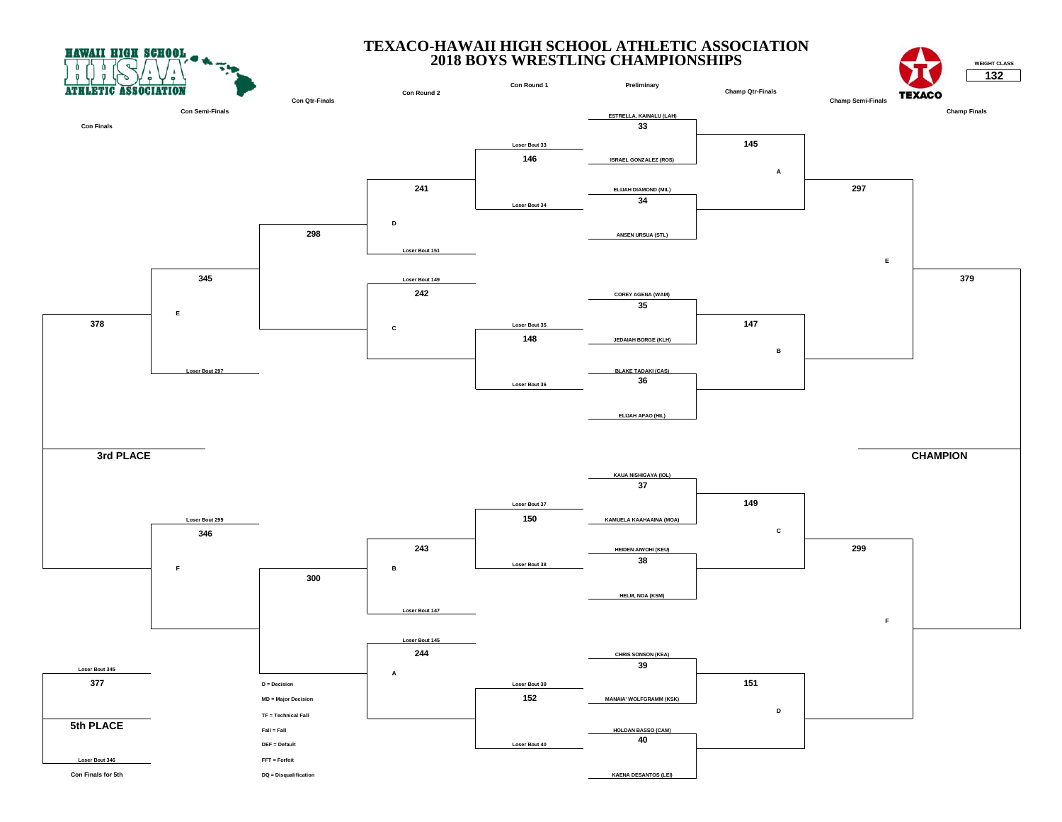



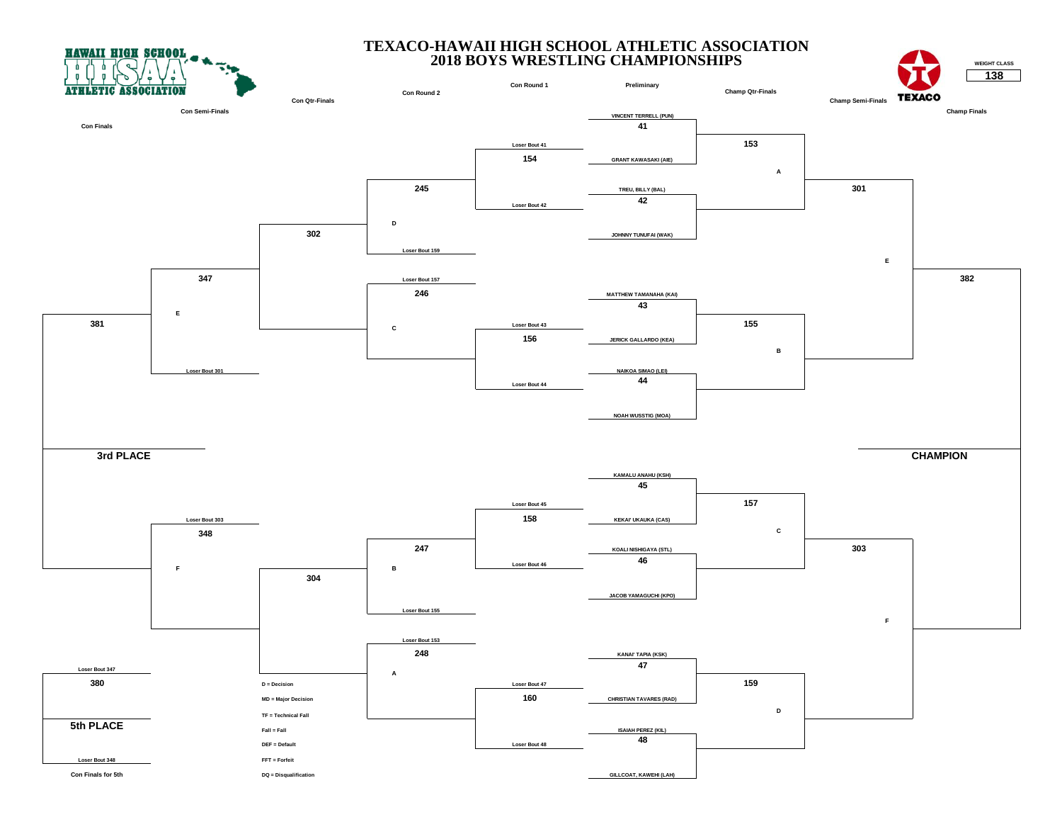



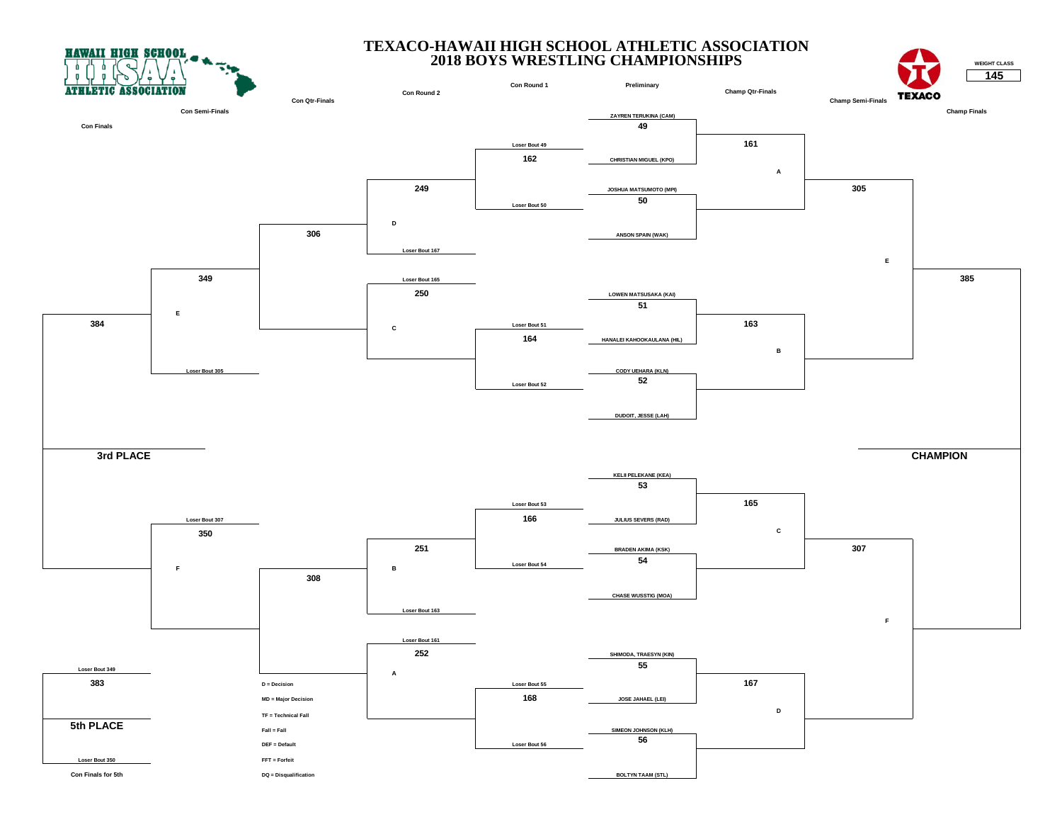



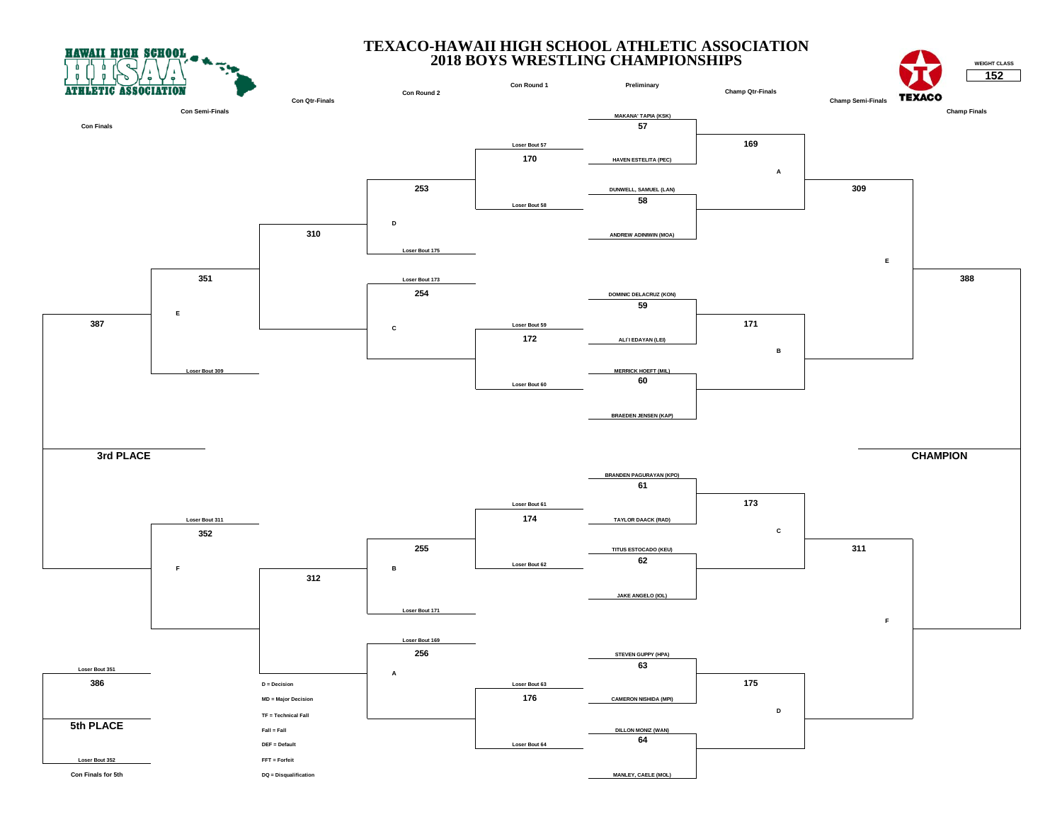



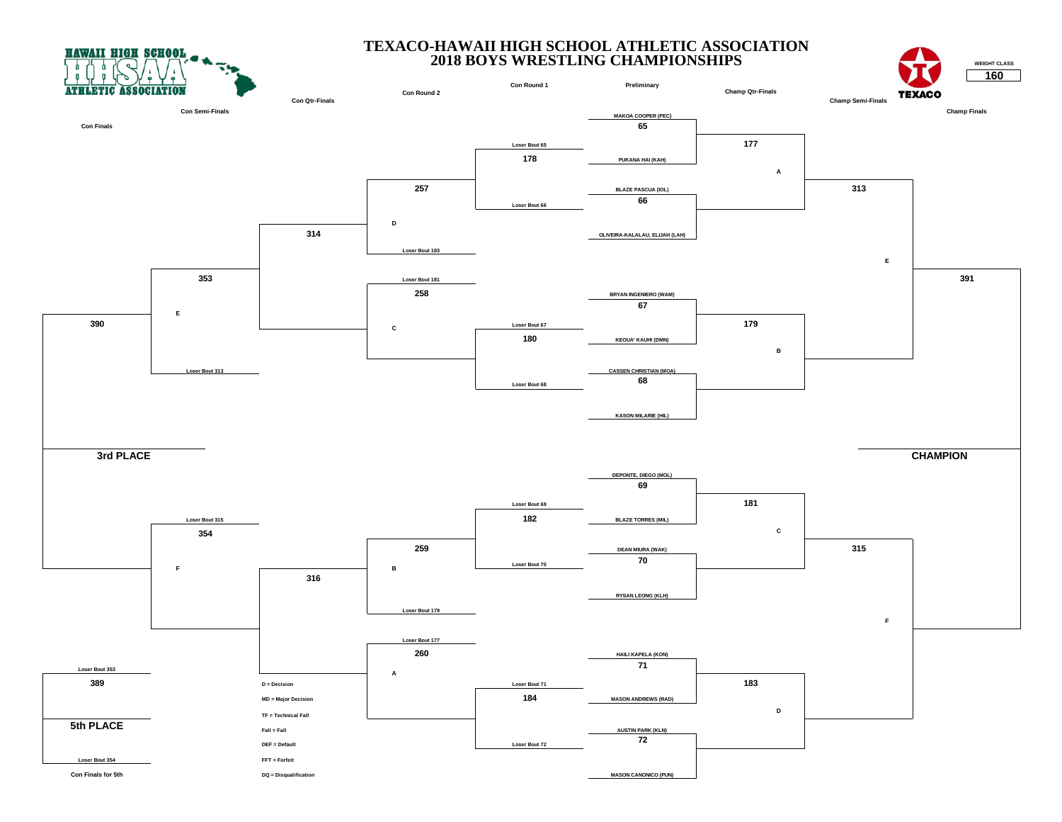



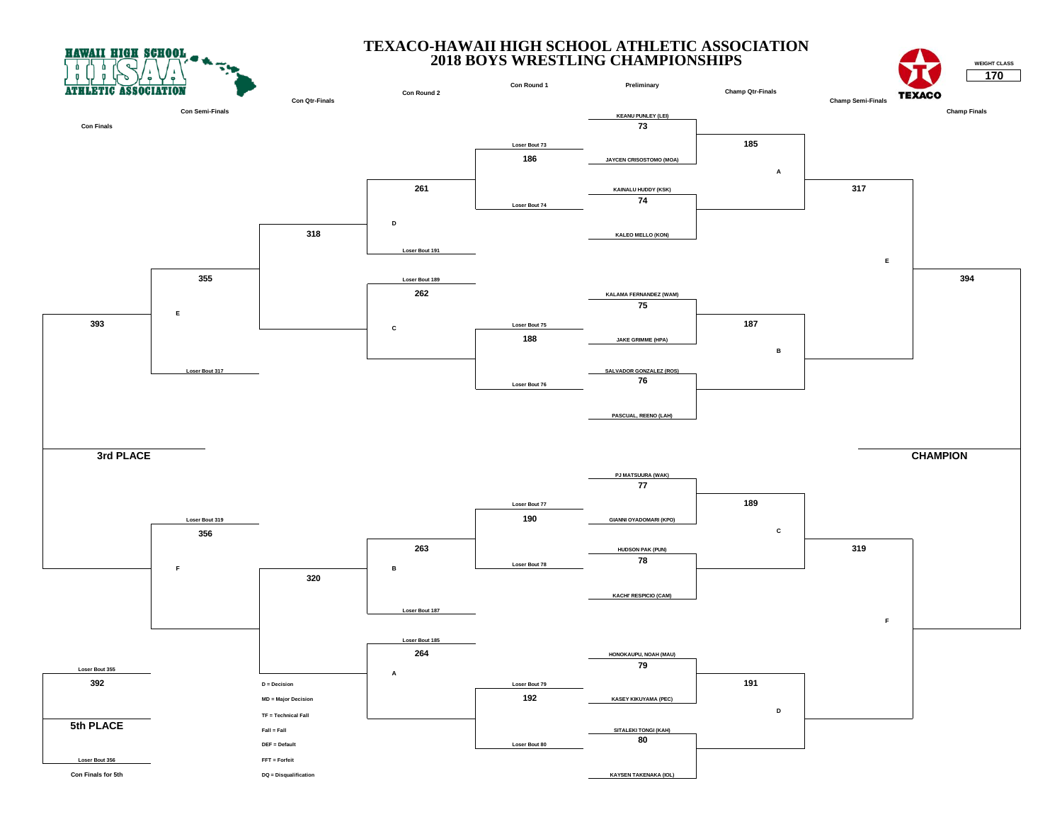



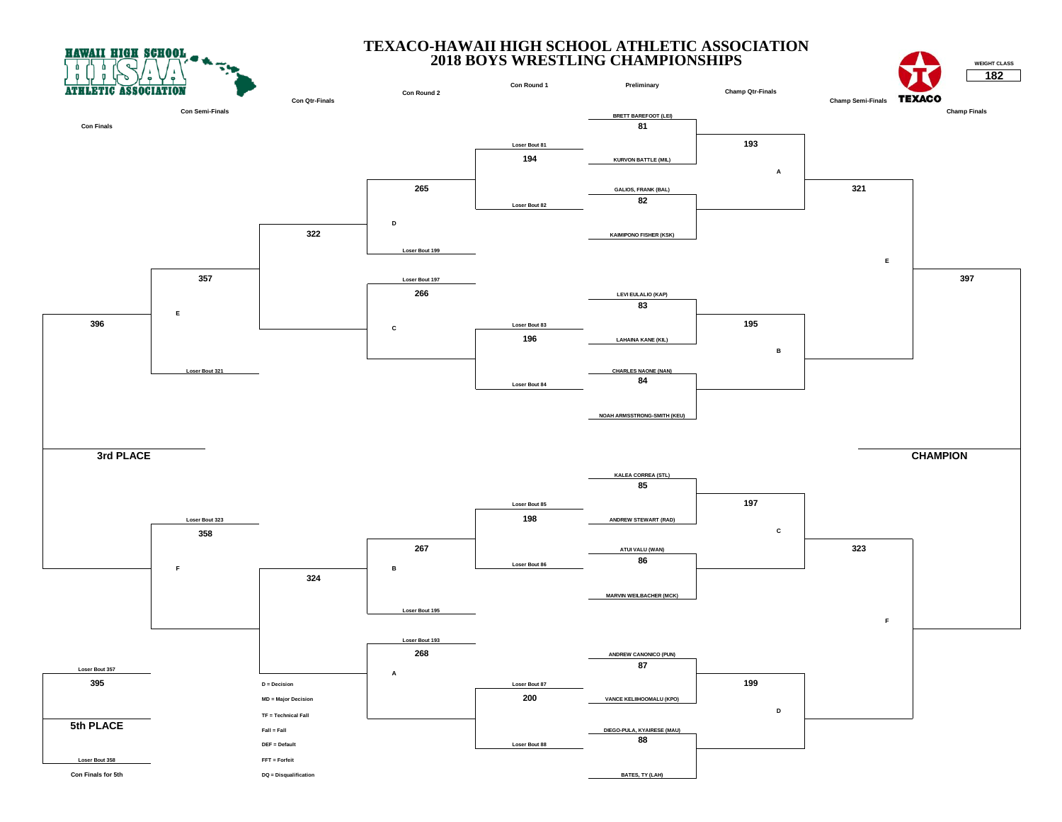



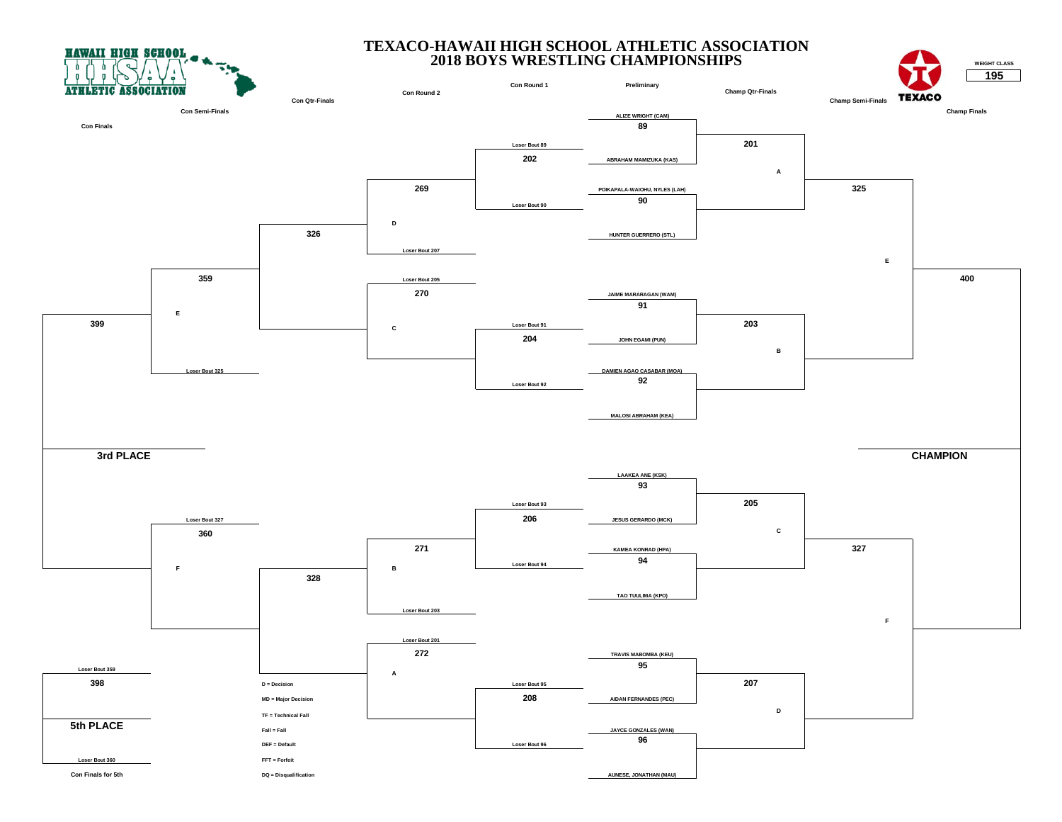



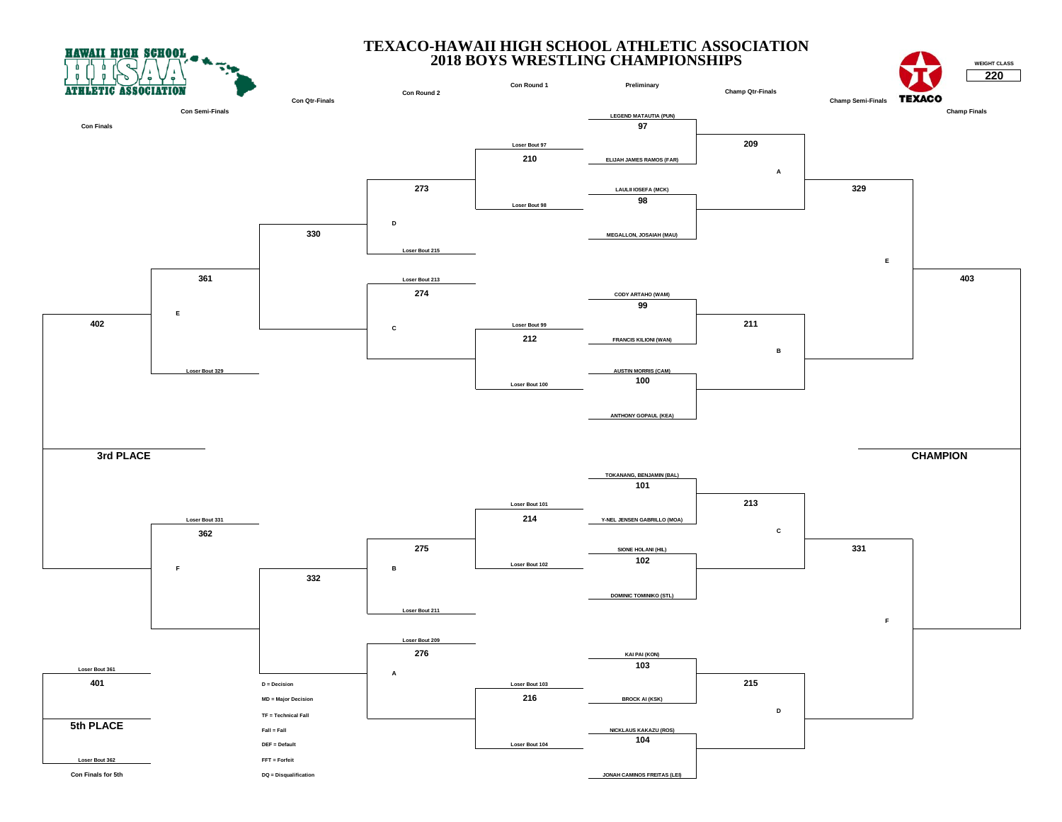